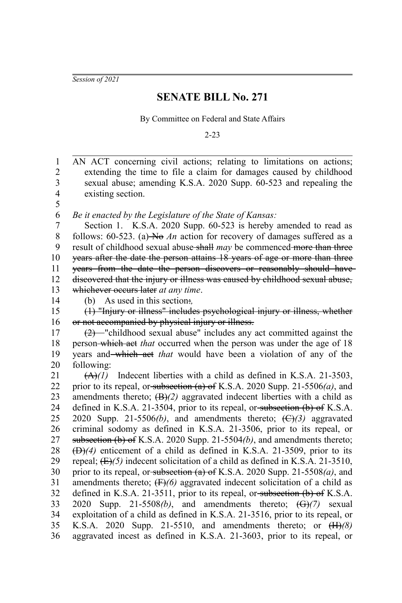*Session of 2021*

## **SENATE BILL No. 271**

By Committee on Federal and State Affairs

2-23

AN ACT concerning civil actions; relating to limitations on actions; extending the time to file a claim for damages caused by childhood sexual abuse; amending K.S.A. 2020 Supp. 60-523 and repealing the existing section. *Be it enacted by the Legislature of the State of Kansas:* Section 1. K.S.A. 2020 Supp. 60-523 is hereby amended to read as follows: 60-523. (a) No An action for recovery of damages suffered as a result of childhood sexual abuse shall may be commenced more than three years after the date the person attains 18 years of age or more than three years from the date the person discovers or reasonably should have discovered that the injury or illness was caused by childhood sexual abuse, whichever occurs later *at any time*. (b) As used in this section:*,* (1) "Injury or illness" includes psychological injury or illness, whether or not accompanied by physical injury or illness. (2) "childhood sexual abuse" includes any act committed against the person which act *that* occurred when the person was under the age of 18 years and which act *that* would have been a violation of any of the following: (A)*(1)* Indecent liberties with a child as defined in K.S.A. 21-3503, prior to its repeal, or subsection (a) of K.S.A. 2020 Supp. 21-5506*(a)*, and amendments thereto;  $(B)/2$ ) aggravated indecent liberties with a child as defined in K.S.A. 21-3504, prior to its repeal, or subsection  $(b)$  of K.S.A. 2020 Supp. 21-5506(b), and amendments thereto;  $(\bigoplus)(3)$  aggravated criminal sodomy as defined in K.S.A. 21-3506, prior to its repeal, or subsection (b) of K.S.A. 2020 Supp. 21-5504*(b)*, and amendments thereto; (D)*(4)* enticement of a child as defined in K.S.A. 21-3509, prior to its repeal; (E)*(5)* indecent solicitation of a child as defined in K.S.A. 21-3510, prior to its repeal, or subsection (a) of K.S.A. 2020 Supp. 21-5508*(a)*, and amendments thereto; (F)*(6)* aggravated indecent solicitation of a child as defined in K.S.A. 21-3511, prior to its repeal, or subsection  $(b)$  of K.S.A. 2020 Supp. 21-5508*(b)*, and amendments thereto; (G)*(7)* sexual exploitation of a child as defined in K.S.A. 21-3516, prior to its repeal, or K.S.A. 2020 Supp. 21-5510, and amendments thereto; or (H)*(8)* aggravated incest as defined in K.S.A. 21-3603, prior to its repeal, or 1 2 3 4 5 6 7 8 9 10 11 12 13 14 15 16 17 18 19 20 21 22 23 24 25 26 27 28 29 30 31 32 33 34 35 36